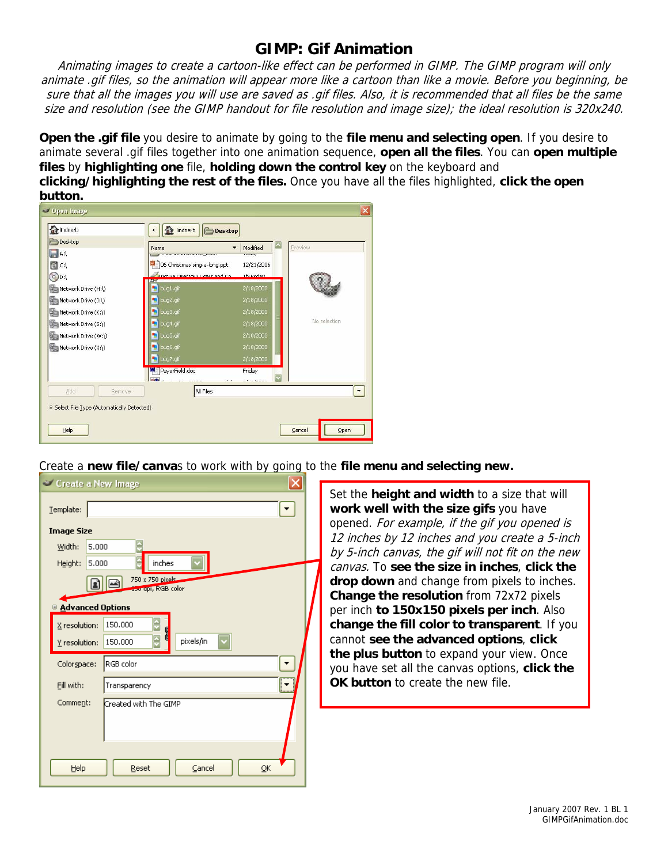## **GIMP: Gif Animation**

animate .gif files, so the animation will appear more like a cartoon than like a movie. Before you beginning, be Animating images to create a cartoon-like effect can be performed in GIMP. The GIMP program will only sure that all the images you will use are saved as .gif files. Also, it is recommended that all files be the same size and resolution (see the GIMP handout for file resolution and image size); the ideal resolution is 320x240.

**Open the .gif file** you desire to animate by going to the **file menu and selecting open**. If you desire to animate several .gif files together into one animation sequence, **open all the files**. You can **open multiple files** by **highlighting one** file, **holding down the control key** on the keyboard and **clicking/highlighting the rest of the files.** Once you have all the files highlighted, **click the open button.**



Create a **new file/canva**s to work with by going to the **file menu and selecting new.**

| Create a New Image            |                  |                       |  |  |  |
|-------------------------------|------------------|-----------------------|--|--|--|
| $I$ emplate:                  |                  |                       |  |  |  |
| <b>Image Size</b>             |                  |                       |  |  |  |
| Width:                        | 5.000            |                       |  |  |  |
| Height:                       | 5.000            | inches                |  |  |  |
|                               | 750 x 750 pixels |                       |  |  |  |
|                               |                  | 150 api, RGB color    |  |  |  |
| <b>B</b> Advanced Options     |                  |                       |  |  |  |
| X resolution:                 |                  | 150,000               |  |  |  |
| Y resolution:                 |                  | pixels/in<br>150,000  |  |  |  |
| Colorspace:                   |                  | RGB color             |  |  |  |
| Eill with:                    |                  | Transparency          |  |  |  |
| Comment:                      |                  | Created with The GIMP |  |  |  |
|                               |                  |                       |  |  |  |
|                               |                  |                       |  |  |  |
| Reset<br>Cancel<br>Help<br>QK |                  |                       |  |  |  |

Set the **height and width** to a size that will **work well with the size gifs** you have opened. For example, if the gif you opened is 12 inches by 12 inches and you create a 5-inch by 5-inch canvas, the gif will not fit on the new canvas. To **see the size in inches**, **click the drop down** and change from pixels to inches. **Change the resolution** from 72x72 pixels per inch **to 150x150 pixels per inch**. Also **change the fill color to transparent**. If you cannot **see the advanced options**, **click the plus button** to expand your view. Once you have set all the canvas options, **click the OK button** to create the new file.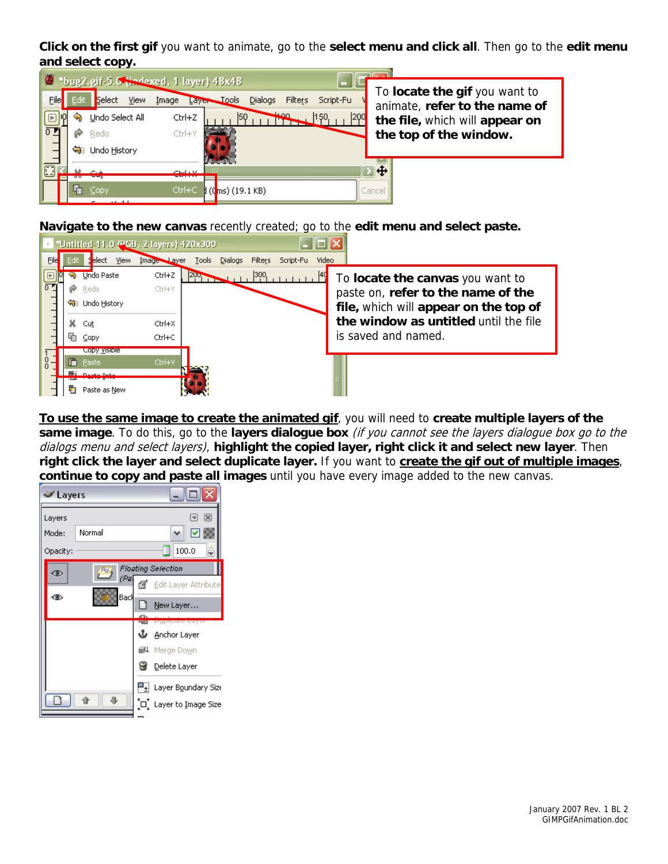**Click on the first gif** you want to animate, go to the **select menu and click all**. Then go to the **edit menu and select copy.** 

|                | bug2.gif-5.0 (indexed, 1 layer) 48x48 |                                                     |                                                              |  |
|----------------|---------------------------------------|-----------------------------------------------------|--------------------------------------------------------------|--|
|                |                                       |                                                     | To locate the gif you want to                                |  |
| File           | <b>View</b><br><b>Select</b><br>Edit  | Image<br>$\bigcup$ Tools<br><b>Dialogs</b><br>Layer | <b>Filters</b><br>Script-Fu<br>animate, refer to the name of |  |
|                | Undo Select All                       | Ctrl+Z                                              | sso.<br>200<br>150.<br>the file, which will appear on        |  |
| $\overline{0}$ | Redo                                  | Ctrl+Y                                              | the top of the window.                                       |  |
|                | <b>जी</b> । Undo History              |                                                     |                                                              |  |
| $\Box$         |                                       | chain vir                                           | ⊪⊕                                                           |  |
|                |                                       |                                                     |                                                              |  |
|                | Copy<br>$1.01 - 1.1$                  | Ctrl+C<br>$\sharp$ (Cms) (19.1 KB)                  | Cancel                                                       |  |

**Navigate to the new canvas** recently created; go to the **edit menu and select paste.**



**To use the same image to create the animated gif**, you will need to **create multiple layers of the same image**. To do this, go to the **layers dialogue box** (if you cannot see the layers dialogue box go to the dialogs menu and select layers), **highlight the copied layer, right click it and select new layer**. Then **right click the layer and select duplicate layer.** If you want to **create the gif out of multiple images**, **continue to copy and paste all images** until you have every image added to the new canvas.

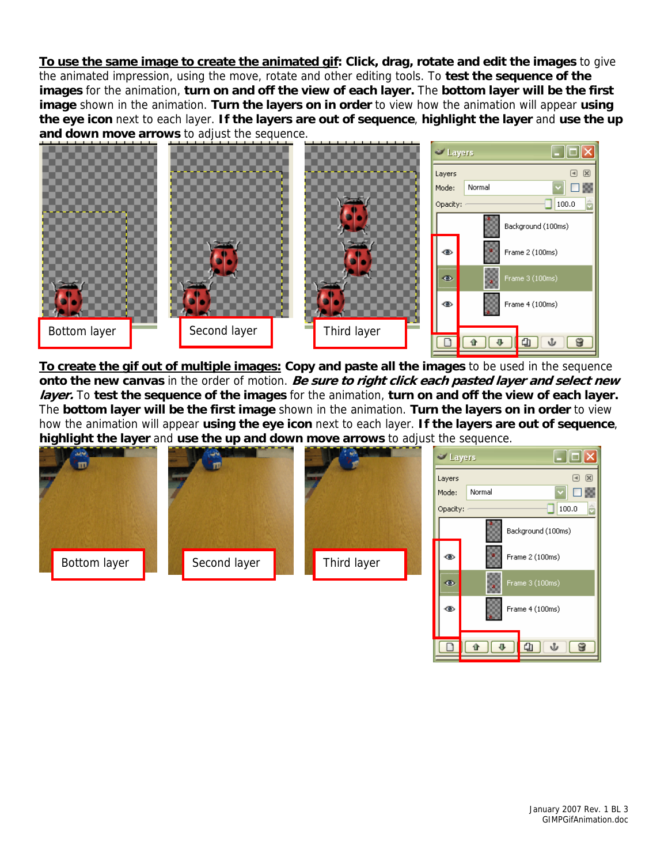**To use the same image to create the animated gif: Click, drag, rotate and edit the images** to give the animated impression, using the move, rotate and other editing tools. To **test the sequence of the images** for the animation, **turn on and off the view of each layer.** The **bottom layer will be the first image** shown in the animation. **Turn the layers on in order** to view how the animation will appear **using the eye icon** next to each layer. **If the layers are out of sequence**, **highlight the layer** and **use the up and down move arrows** to adjust the sequence.



**To create the gif out of multiple images: Copy and paste all the images** to be used in the sequence **onto the new canvas** in the order of motion. **Be sure to right click each pasted layer and select new layer.** To **test the sequence of the images** for the animation, **turn on and off the view of each layer.** The **bottom layer will be the first image** shown in the animation. **Turn the layers on in order** to view how the animation will appear **using the eye icon** next to each layer. **If the layers are out of sequence**, **highlight the layer** and **use the up and down move arrows** to adjust the sequence.



8

 $\overline{\textbf{v}}$ 

 $\mathbf{a}$ 

ŵ

企

 $\Box$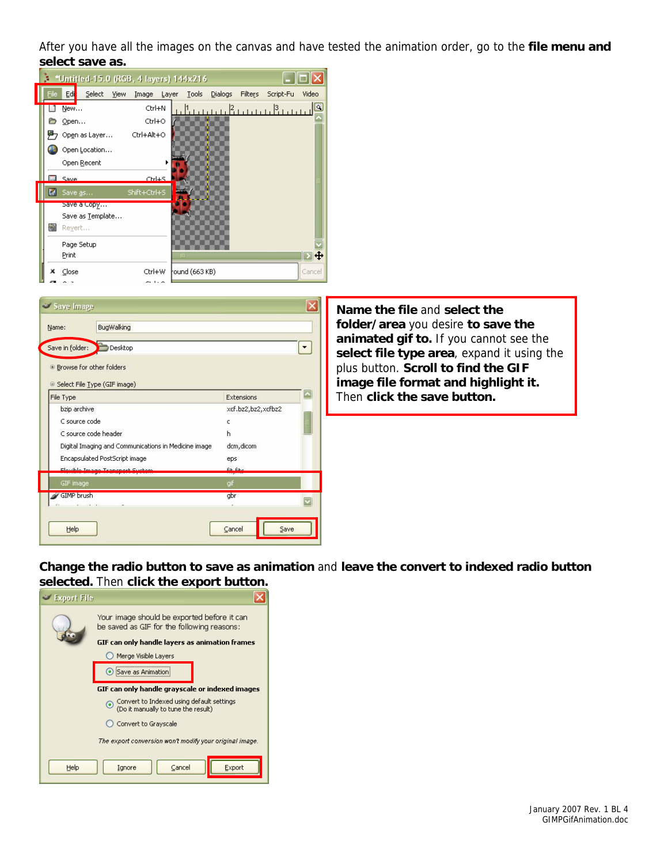After you have all the images on the canvas and have tested the animation order, go to the **file menu and select save as.** 

| *Untitled-15.0 (RGB, 4 layers) 144x216 |                              |                |                                                                 |  |  |
|----------------------------------------|------------------------------|----------------|-----------------------------------------------------------------|--|--|
| File                                   | Edi<br>Select<br><b>View</b> | Image<br>Layer | <b>Dialogs</b><br>Filters<br><b>Tools</b><br>Script-Fu<br>Video |  |  |
|                                        | New                          | Ctrl+N         | ß)<br><u> Innun Renna Bern</u>                                  |  |  |
|                                        | Open                         | Ctrl+O         |                                                                 |  |  |
|                                        | Open as Layer                | Ctrl+Alt+O     |                                                                 |  |  |
|                                        | Open Location                |                |                                                                 |  |  |
|                                        | Open Recent                  |                |                                                                 |  |  |
|                                        | Save                         | Ctrl+S         |                                                                 |  |  |
|                                        | Save as                      | Shift+Ctrl+S   |                                                                 |  |  |
|                                        | bave a Copy                  |                |                                                                 |  |  |
|                                        | Save as Template             |                |                                                                 |  |  |
| e.                                     | Revert                       |                |                                                                 |  |  |
|                                        | Page Setup                   |                |                                                                 |  |  |
|                                        | Print                        |                | ١÷<br>$\mathsf{H}\mathsf{H}$                                    |  |  |
| ×                                      | Close                        | Ctrl+W         | round (663 KB)<br>Cancel                                        |  |  |

| BugWalking<br>Name:<br>Save in folder:<br>Desktop    |                    |   |
|------------------------------------------------------|--------------------|---|
| D Browse for other folders                           |                    |   |
| Select File Type (GIF image)                         | Extensions         | A |
| File Type<br>bzip archive                            | xcf.bz2,bz2,xcfbz2 |   |
| C source code                                        | c                  |   |
| C source code header                                 | h                  |   |
| Digital Imaging and Communications in Medicine image | dcm, dicom         |   |
| Encapsulated PostScript image                        | eps                |   |
| Elevible Impac Transport Suchan                      | <b>File Filter</b> |   |
| GIF image                                            | gif                |   |
| GIMP brush                                           | gbr                |   |
|                                                      |                    |   |

**Name the file** and **select the folder/area** you desire **to save the animated gif to.** If you cannot see the **select file type area**, expand it using the plus button. **Scroll to find the GIF image file format and highlight it.**  Then **click the save button.** 

**Change the radio button to save as animation** and **leave the convert to indexed radio button selected.** Then **click the export button.** 

| <b>Export File</b>                                                               |                                                                                           |        |  |  |
|----------------------------------------------------------------------------------|-------------------------------------------------------------------------------------------|--------|--|--|
|                                                                                  | Your image should be exported before it can<br>be saved as GIF for the following reasons: |        |  |  |
|                                                                                  | GIF can only handle layers as animation frames                                            |        |  |  |
|                                                                                  | Merge Visible Layers                                                                      |        |  |  |
|                                                                                  | Save as Animation                                                                         |        |  |  |
| GIF can only handle grayscale or indexed images                                  |                                                                                           |        |  |  |
| Convert to Indexed using default settings<br>(Do it manually to tune the result) |                                                                                           |        |  |  |
| Convert to Grayscale                                                             |                                                                                           |        |  |  |
| The export conversion won't modify your original image.                          |                                                                                           |        |  |  |
| Help                                                                             | Cancel<br>Ignore                                                                          | Export |  |  |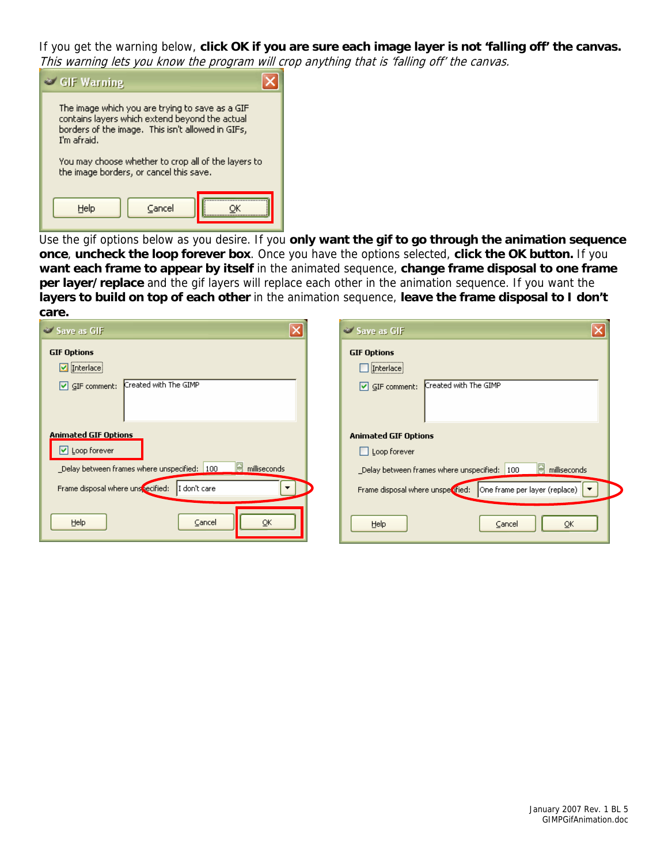If you get the warning below, **click OK if you are sure each image layer is not 'falling off' the canvas.**  This warning lets you know the program will crop anything that is 'falling off' the canvas.



Use the gif options below as you desire. If you **only want the gif to go through the animation sequence once**, **uncheck the loop forever box**. Once you have the options selected, **click the OK button.** If you **want each frame to appear by itself** in the animated sequence, **change frame disposal to one frame per layer/replace** and the gif layers will replace each other in the animation sequence. If you want the **layers to build on top of each other** in the animation sequence, **leave the frame disposal to I don't care.** 

| $\overline{\mathsf{x}}$<br>Save as GIF                              | Save as GIF                                                     |
|---------------------------------------------------------------------|-----------------------------------------------------------------|
| <b>GIF Options</b>                                                  | <b>GIF Options</b>                                              |
| □ Interlace                                                         |                                                                 |
| Created with The GIMP<br>$\boxed{\vee}$ GIF comment:                | Created with The GIMP<br>$\boxed{\vee}$ GIF comment:            |
|                                                                     |                                                                 |
| <b>Animated GIF Options</b>                                         | <b>Animated GIF Options</b>                                     |
| $\triangleright$ Loop forever                                       | Loop forever                                                    |
| le.<br>milliseconds<br>_Delay between frames where unspecified: 100 | _Delay between frames where unspecified: 100<br>milliseconds    |
| Frame disposal where unspecified:<br>I don't care                   | Frame disposal where unspectfied: One frame per layer (replace) |
| Help<br>Cancel<br>OK                                                | Help<br>QK<br>Cancel                                            |